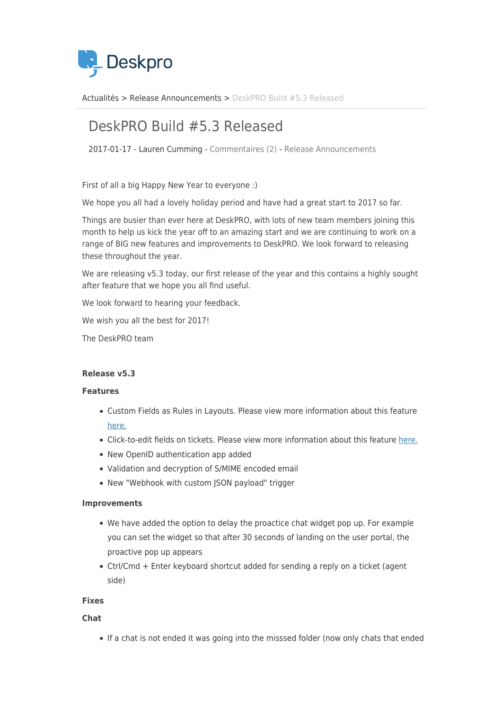

[Actualités](https://support.deskpro.com/fr/news) > [Release Announcements](https://support.deskpro.com/fr/news/release-announcements) > [DeskPRO Build #5.3 Released](https://support.deskpro.com/fr/news/posts/deskpro-build-5-3-released-2)

# DeskPRO Build #5.3 Released

2017-01-17 - Lauren Cumming - [Commentaires \(2\)](#page--1-0) - [Release Announcements](https://support.deskpro.com/fr/news/release-announcements)

First of all a big Happy New Year to everyone :)

We hope you all had a lovely holiday period and have had a great start to 2017 so far.

Things are busier than ever here at DeskPRO, with lots of new team members joining this month to help us kick the year off to an amazing start and we are continuing to work on a range of BIG new features and improvements to DeskPRO. We look forward to releasing these throughout the year.

We are releasing v5.3 today, our first release of the year and this contains a highly sought after feature that we hope you all find useful.

We look forward to hearing your feedback.

We wish you all the best for 2017!

The DeskPRO team

## **Release v5.3**

## **Features**

- Custom Fields as Rules in Layouts. Please view more information about this feature [here.](https://support.deskpro.com/news/posts/621)
- Click-to-edit fields on tickets. Please view more information about this feature [here.](https://support.deskpro.com/news/posts/622)
- New OpenID authentication app added
- Validation and decryption of S/MIME encoded email
- New "Webhook with custom JSON payload" trigger

## **Improvements**

- We have added the option to delay the proactice chat widget pop up. For example you can set the widget so that after 30 seconds of landing on the user portal, the proactive pop up appears
- Ctrl/Cmd + Enter keyboard shortcut added for sending a reply on a ticket (agent side)

## **Fixes**

**Chat**

If a chat is not ended it was going into the misssed folder (now only chats that ended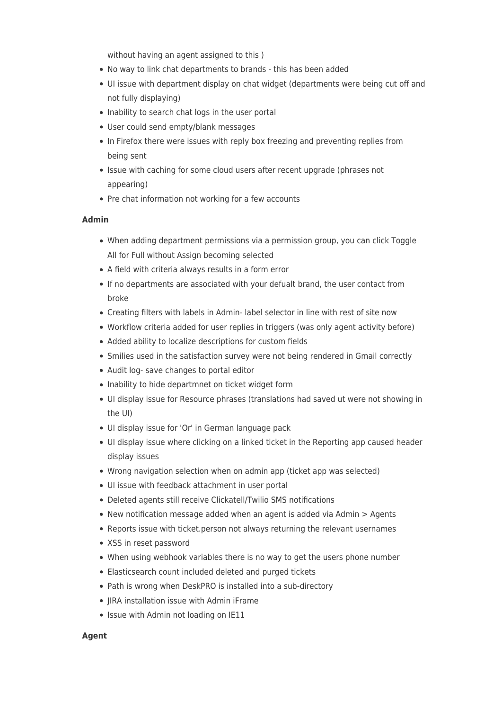without having an agent assigned to this )

- No way to link chat departments to brands this has been added
- UI issue with department display on chat widget (departments were being cut off and not fully displaying)
- Inability to search chat logs in the user portal
- User could send empty/blank messages
- In Firefox there were issues with reply box freezing and preventing replies from being sent
- Issue with caching for some cloud users after recent upgrade (phrases not appearing)
- Pre chat information not working for a few accounts

## **Admin**

- When adding department permissions via a permission group, you can click Toggle All for Full without Assign becoming selected
- A field with criteria always results in a form error
- If no departments are associated with your defualt brand, the user contact from broke
- Creating filters with labels in Admin- label selector in line with rest of site now
- Workflow criteria added for user replies in triggers (was only agent activity before)
- Added ability to localize descriptions for custom fields
- Smilies used in the satisfaction survey were not being rendered in Gmail correctly
- Audit log- save changes to portal editor
- Inability to hide departmnet on ticket widget form
- UI display issue for Resource phrases (translations had saved ut were not showing in the UI)
- UI display issue for 'Or' in German language pack
- UI display issue where clicking on a linked ticket in the Reporting app caused header display issues
- Wrong navigation selection when on admin app (ticket app was selected)
- UI issue with feedback attachment in user portal
- Deleted agents still receive Clickatell/Twilio SMS notifications
- New notification message added when an agent is added via Admin > Agents
- Reports issue with ticket.person not always returning the relevant usernames
- XSS in reset password
- When using webhook variables there is no way to get the users phone number
- Elasticsearch count included deleted and purged tickets
- Path is wrong when DeskPRO is installed into a sub-directory
- JIRA installation issue with Admin iFrame
- Issue with Admin not loading on IE11

## **Agent**